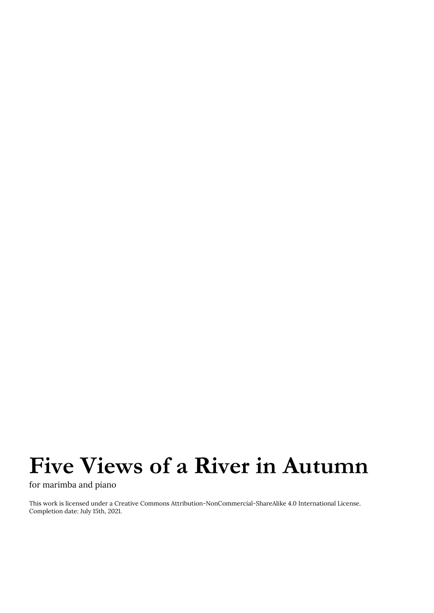## **Five Views of a River in Autumn**

for marimba and piano

This work is licensed under a Creative Commons Attribution-NonCommercial-ShareAlike 4.0 International License. Completion date: July 15th, 2021.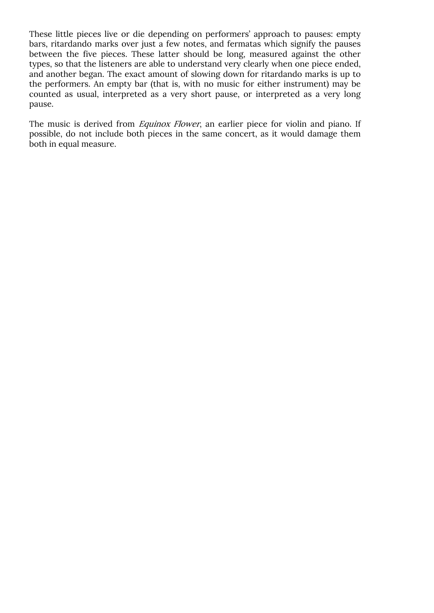These little pieces live or die depending on performers' approach to pauses: empty bars, ritardando marks over just a few notes, and fermatas which signify the pauses between the five pieces. These latter should be long, measured against the other types, so that the listeners are able to understand very clearly when one piece ended, and another began. The exact amount of slowing down for ritardando marks is up to the performers. An empty bar (that is, with no music for either instrument) may be counted as usual, interpreted as a very short pause, or interpreted as a very long pause.

The music is derived from *Equinox Flower*, an earlier piece for violin and piano. If possible, do not include both pieces in the same concert, as it would damage them both in equal measure.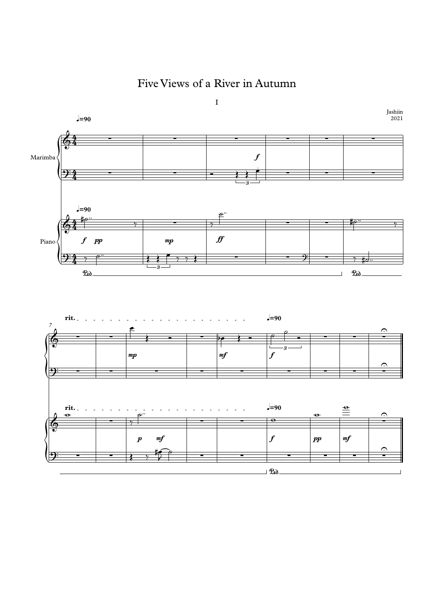Five Views of a River in Autumn



 $\mathcal{P}$ ed  $\mathcal{P}$   $\mathcal{P}$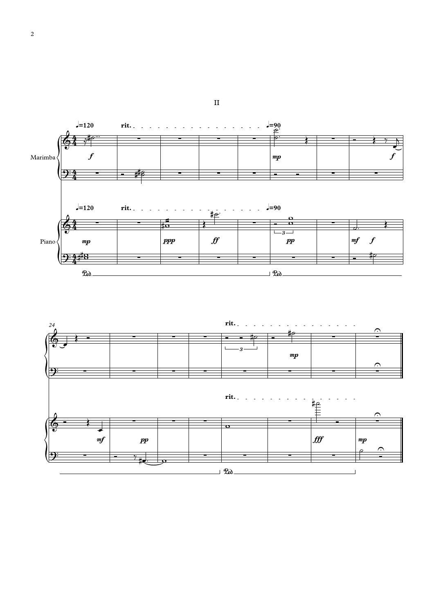



II

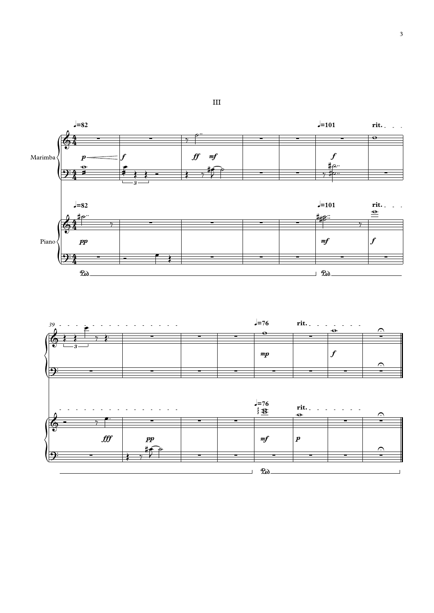



III

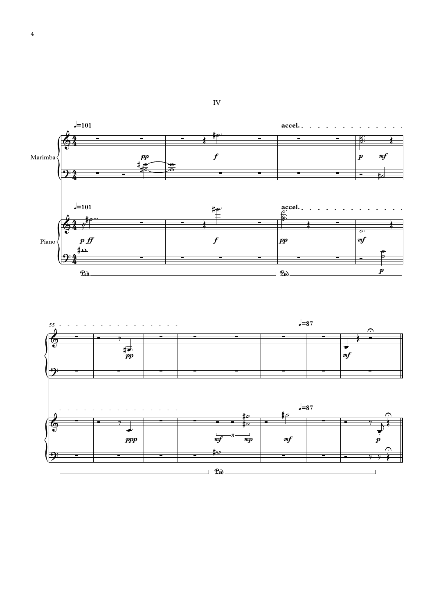



IV